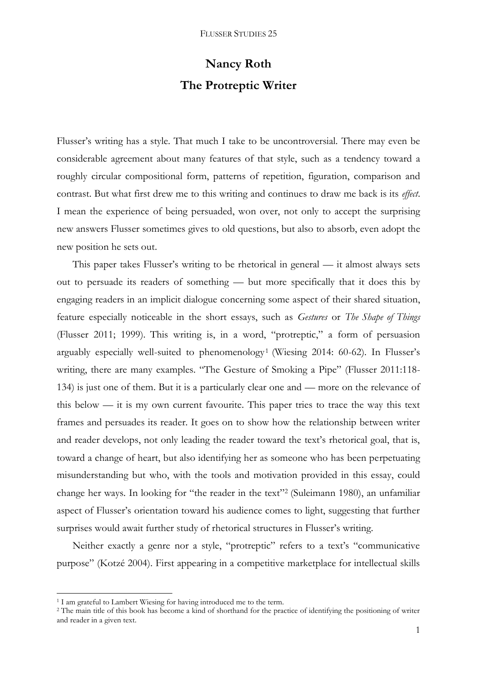# **Nancy Roth The Protreptic Writer**

Flusser's writing has a style. That much I take to be uncontroversial. There may even be considerable agreement about many features of that style, such as a tendency toward a roughly circular compositional form, patterns of repetition, figuration, comparison and contrast. But what first drew me to this writing and continues to draw me back is its *effect*. I mean the experience of being persuaded, won over, not only to accept the surprising new answers Flusser sometimes gives to old questions, but also to absorb, even adopt the new position he sets out.

This paper takes Flusser's writing to be rhetorical in general — it almost always sets out to persuade its readers of something — but more specifically that it does this by engaging readers in an implicit dialogue concerning some aspect of their shared situation, feature especially noticeable in the short essays, such as *Gestures* or *The Shape of Things*  (Flusser 2011; 1999). This writing is, in a word, "protreptic," a form of persuasion arguably especially well-suited to phenomenology<sup>1</sup> (Wiesing 2014: 60-62). In Flusser's writing, there are many examples. "The Gesture of Smoking a Pipe" (Flusser 2011:118- 134) is just one of them. But it is a particularly clear one and — more on the relevance of this below — it is my own current favourite. This paper tries to trace the way this text frames and persuades its reader. It goes on to show how the relationship between writer and reader develops, not only leading the reader toward the text's rhetorical goal, that is, toward a change of heart, but also identifying her as someone who has been perpetuating misunderstanding but who, with the tools and motivation provided in this essay, could change her ways. In looking for "the reader in the text" 2 (Suleimann 1980), an unfamiliar aspect of Flusser's orientation toward his audience comes to light, suggesting that further surprises would await further study of rhetorical structures in Flusser's writing.

Neither exactly a genre nor a style, "protreptic" refers to a text's "communicative purpose" (Kotzé 2004). First appearing in a competitive marketplace for intellectual skills

 $\overline{a}$ 

<sup>&</sup>lt;sup>1</sup> I am grateful to Lambert Wiesing for having introduced me to the term.

<sup>&</sup>lt;sup>2</sup> The main title of this book has become a kind of shorthand for the practice of identifying the positioning of writer and reader in a given text.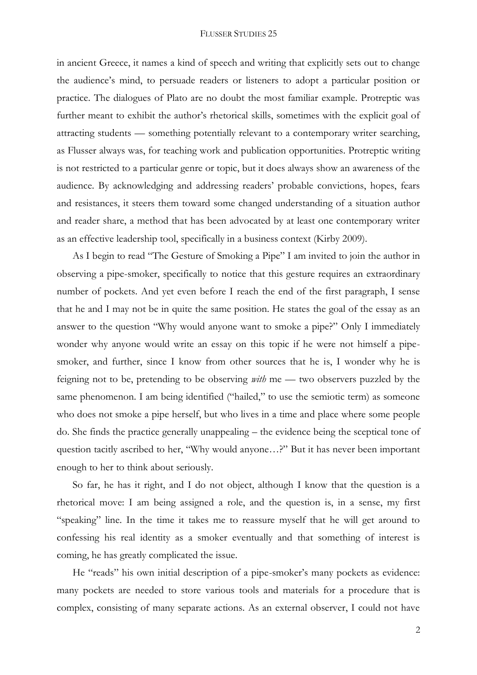in ancient Greece, it names a kind of speech and writing that explicitly sets out to change the audience's mind, to persuade readers or listeners to adopt a particular position or practice. The dialogues of Plato are no doubt the most familiar example. Protreptic was further meant to exhibit the author's rhetorical skills, sometimes with the explicit goal of attracting students — something potentially relevant to a contemporary writer searching, as Flusser always was, for teaching work and publication opportunities. Protreptic writing is not restricted to a particular genre or topic, but it does always show an awareness of the audience. By acknowledging and addressing readers' probable convictions, hopes, fears and resistances, it steers them toward some changed understanding of a situation author and reader share, a method that has been advocated by at least one contemporary writer as an effective leadership tool, specifically in a business context (Kirby 2009).

As I begin to read "The Gesture of Smoking a Pipe" I am invited to join the author in observing a pipe-smoker, specifically to notice that this gesture requires an extraordinary number of pockets. And yet even before I reach the end of the first paragraph, I sense that he and I may not be in quite the same position. He states the goal of the essay as an answer to the question "Why would anyone want to smoke a pipe?" Only I immediately wonder why anyone would write an essay on this topic if he were not himself a pipesmoker, and further, since I know from other sources that he is, I wonder why he is feigning not to be, pretending to be observing *with* me — two observers puzzled by the same phenomenon. I am being identified ("hailed," to use the semiotic term) as someone who does not smoke a pipe herself, but who lives in a time and place where some people do. She finds the practice generally unappealing – the evidence being the sceptical tone of question tacitly ascribed to her, "Why would anyone…?" But it has never been important enough to her to think about seriously.

So far, he has it right, and I do not object, although I know that the question is a rhetorical move: I am being assigned a role, and the question is, in a sense, my first "speaking" line. In the time it takes me to reassure myself that he will get around to confessing his real identity as a smoker eventually and that something of interest is coming, he has greatly complicated the issue.

He "reads" his own initial description of a pipe-smoker's many pockets as evidence: many pockets are needed to store various tools and materials for a procedure that is complex, consisting of many separate actions. As an external observer, I could not have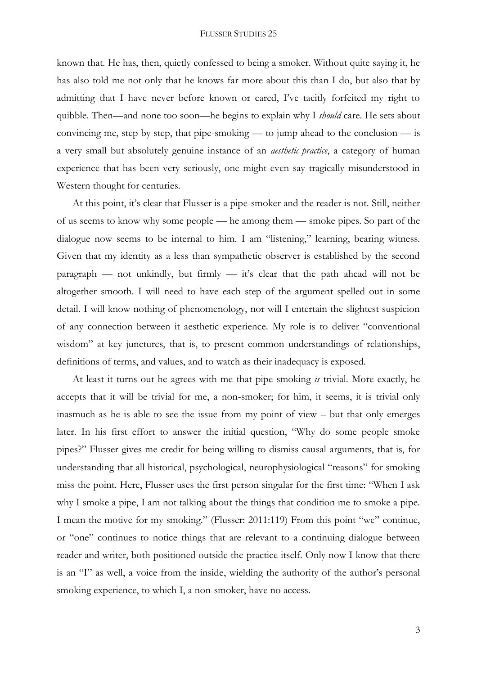known that. He has, then, quietly confessed to being a smoker. Without quite saying it, he has also told me not only that he knows far more about this than I do, but also that by admitting that I have never before known or cared, I've tacitly forfeited my right to quibble. Then—and none too soon—he begins to explain why I *should* care. He sets about convincing me, step by step, that pipe-smoking — to jump ahead to the conclusion — is a very small but absolutely genuine instance of an *aesthetic practice*, a category of human experience that has been very seriously, one might even say tragically misunderstood in Western thought for centuries.

At this point, it's clear that Flusser is a pipe-smoker and the reader is not. Still, neither of us seems to know why some people — he among them — smoke pipes. So part of the dialogue now seems to be internal to him. I am "listening," learning, bearing witness. Given that my identity as a less than sympathetic observer is established by the second paragraph — not unkindly, but firmly — it's clear that the path ahead will not be altogether smooth. I will need to have each step of the argument spelled out in some detail. I will know nothing of phenomenology, nor will I entertain the slightest suspicion of any connection between it aesthetic experience. My role is to deliver "conventional wisdom" at key junctures, that is, to present common understandings of relationships, definitions of terms, and values, and to watch as their inadequacy is exposed.

At least it turns out he agrees with me that pipe-smoking *is* trivial. More exactly, he accepts that it will be trivial for me, a non-smoker; for him, it seems, it is trivial only inasmuch as he is able to see the issue from my point of view – but that only emerges later. In his first effort to answer the initial question, "Why do some people smoke pipes?" Flusser gives me credit for being willing to dismiss causal arguments, that is, for understanding that all historical, psychological, neurophysiological "reasons" for smoking miss the point. Here, Flusser uses the first person singular for the first time: "When I ask why I smoke a pipe, I am not talking about the things that condition me to smoke a pipe. I mean the motive for my smoking." (Flusser: 2011:119) From this point "we" continue, or "one" continues to notice things that are relevant to a continuing dialogue between reader and writer, both positioned outside the practice itself. Only now I know that there is an "I" as well, a voice from the inside, wielding the authority of the author's personal smoking experience, to which I, a non-smoker, have no access.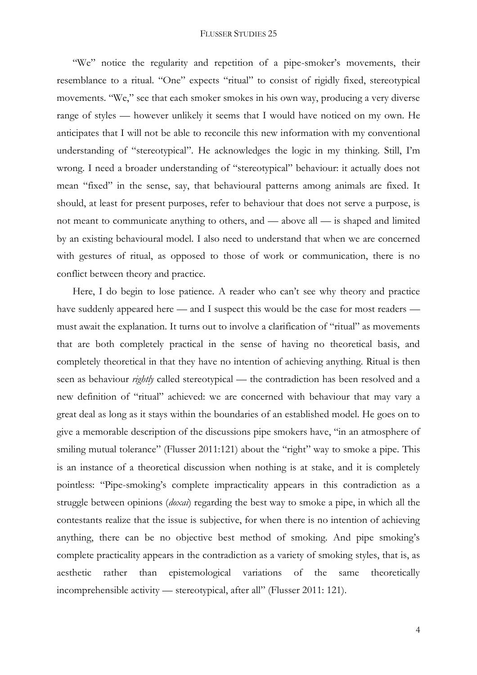"We" notice the regularity and repetition of a pipe-smoker's movements, their resemblance to a ritual. "One" expects "ritual" to consist of rigidly fixed, stereotypical movements. "We," see that each smoker smokes in his own way, producing a very diverse range of styles — however unlikely it seems that I would have noticed on my own. He anticipates that I will not be able to reconcile this new information with my conventional understanding of "stereotypical". He acknowledges the logic in my thinking. Still, I'm wrong. I need a broader understanding of "stereotypical" behaviour: it actually does not mean "fixed" in the sense, say, that behavioural patterns among animals are fixed. It should, at least for present purposes, refer to behaviour that does not serve a purpose, is not meant to communicate anything to others, and — above all — is shaped and limited by an existing behavioural model. I also need to understand that when we are concerned with gestures of ritual, as opposed to those of work or communication, there is no conflict between theory and practice.

Here, I do begin to lose patience. A reader who can't see why theory and practice have suddenly appeared here — and I suspect this would be the case for most readers must await the explanation. It turns out to involve a clarification of "ritual" as movements that are both completely practical in the sense of having no theoretical basis, and completely theoretical in that they have no intention of achieving anything. Ritual is then seen as behaviour *rightly* called stereotypical — the contradiction has been resolved and a new definition of "ritual" achieved: we are concerned with behaviour that may vary a great deal as long as it stays within the boundaries of an established model. He goes on to give a memorable description of the discussions pipe smokers have, "in an atmosphere of smiling mutual tolerance" (Flusser 2011:121) about the "right" way to smoke a pipe. This is an instance of a theoretical discussion when nothing is at stake, and it is completely pointless: "Pipe-smoking's complete impracticality appears in this contradiction as a struggle between opinions (*doxai*) regarding the best way to smoke a pipe, in which all the contestants realize that the issue is subjective, for when there is no intention of achieving anything, there can be no objective best method of smoking. And pipe smoking's complete practicality appears in the contradiction as a variety of smoking styles, that is, as aesthetic rather than epistemological variations of the same theoretically incomprehensible activity — stereotypical, after all" (Flusser 2011: 121).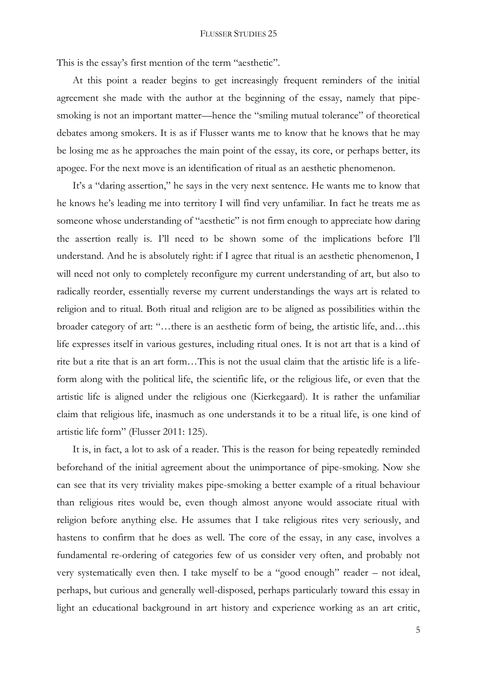This is the essay's first mention of the term "aesthetic".

At this point a reader begins to get increasingly frequent reminders of the initial agreement she made with the author at the beginning of the essay, namely that pipesmoking is not an important matter—hence the "smiling mutual tolerance" of theoretical debates among smokers. It is as if Flusser wants me to know that he knows that he may be losing me as he approaches the main point of the essay, its core, or perhaps better, its apogee. For the next move is an identification of ritual as an aesthetic phenomenon.

It's a "daring assertion," he says in the very next sentence. He wants me to know that he knows he's leading me into territory I will find very unfamiliar. In fact he treats me as someone whose understanding of "aesthetic" is not firm enough to appreciate how daring the assertion really is. I'll need to be shown some of the implications before I'll understand. And he is absolutely right: if I agree that ritual is an aesthetic phenomenon, I will need not only to completely reconfigure my current understanding of art, but also to radically reorder, essentially reverse my current understandings the ways art is related to religion and to ritual. Both ritual and religion are to be aligned as possibilities within the broader category of art: "…there is an aesthetic form of being, the artistic life, and…this life expresses itself in various gestures, including ritual ones. It is not art that is a kind of rite but a rite that is an art form…This is not the usual claim that the artistic life is a lifeform along with the political life, the scientific life, or the religious life, or even that the artistic life is aligned under the religious one (Kierkegaard). It is rather the unfamiliar claim that religious life, inasmuch as one understands it to be a ritual life, is one kind of artistic life form" (Flusser 2011: 125).

It is, in fact, a lot to ask of a reader. This is the reason for being repeatedly reminded beforehand of the initial agreement about the unimportance of pipe-smoking. Now she can see that its very triviality makes pipe-smoking a better example of a ritual behaviour than religious rites would be, even though almost anyone would associate ritual with religion before anything else. He assumes that I take religious rites very seriously, and hastens to confirm that he does as well. The core of the essay, in any case, involves a fundamental re-ordering of categories few of us consider very often, and probably not very systematically even then. I take myself to be a "good enough" reader – not ideal, perhaps, but curious and generally well-disposed, perhaps particularly toward this essay in light an educational background in art history and experience working as an art critic,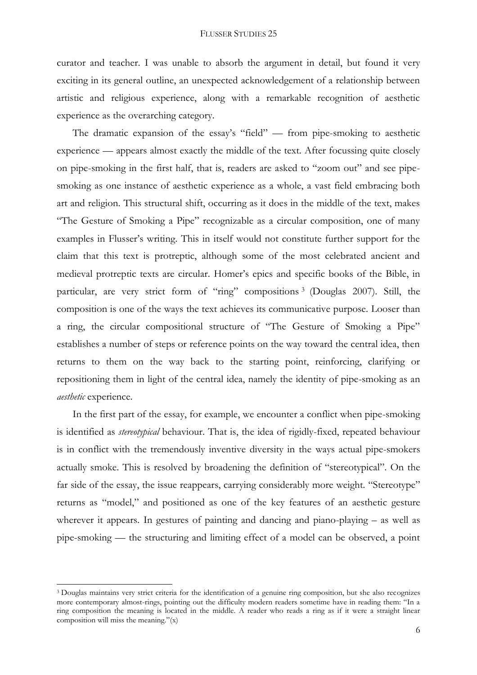curator and teacher. I was unable to absorb the argument in detail, but found it very exciting in its general outline, an unexpected acknowledgement of a relationship between artistic and religious experience, along with a remarkable recognition of aesthetic experience as the overarching category.

The dramatic expansion of the essay's "field" — from pipe-smoking to aesthetic experience — appears almost exactly the middle of the text. After focussing quite closely on pipe-smoking in the first half, that is, readers are asked to "zoom out" and see pipesmoking as one instance of aesthetic experience as a whole, a vast field embracing both art and religion. This structural shift, occurring as it does in the middle of the text, makes "The Gesture of Smoking a Pipe" recognizable as a circular composition, one of many examples in Flusser's writing. This in itself would not constitute further support for the claim that this text is protreptic, although some of the most celebrated ancient and medieval protreptic texts are circular. Homer's epics and specific books of the Bible, in particular, are very strict form of "ring" compositions <sup>3</sup> (Douglas 2007). Still, the composition is one of the ways the text achieves its communicative purpose. Looser than a ring, the circular compositional structure of "The Gesture of Smoking a Pipe" establishes a number of steps or reference points on the way toward the central idea, then returns to them on the way back to the starting point, reinforcing, clarifying or repositioning them in light of the central idea, namely the identity of pipe-smoking as an *aesthetic* experience.

In the first part of the essay, for example, we encounter a conflict when pipe-smoking is identified as *stereotypical* behaviour. That is, the idea of rigidly-fixed, repeated behaviour is in conflict with the tremendously inventive diversity in the ways actual pipe-smokers actually smoke. This is resolved by broadening the definition of "stereotypical". On the far side of the essay, the issue reappears, carrying considerably more weight. "Stereotype" returns as "model," and positioned as one of the key features of an aesthetic gesture wherever it appears. In gestures of painting and dancing and piano-playing – as well as pipe-smoking — the structuring and limiting effect of a model can be observed, a point

 $\overline{a}$ 

<sup>3</sup> Douglas maintains very strict criteria for the identification of a genuine ring composition, but she also recognizes more contemporary almost-rings, pointing out the difficulty modern readers sometime have in reading them: "In a ring composition the meaning is located in the middle. A reader who reads a ring as if it were a straight linear composition will miss the meaning."(x)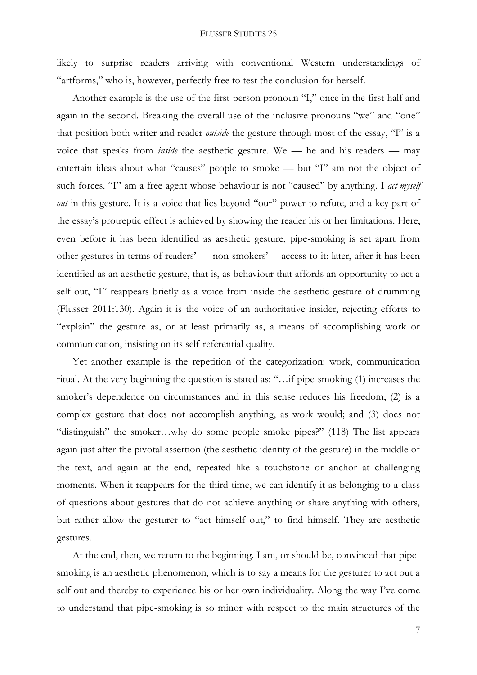likely to surprise readers arriving with conventional Western understandings of "artforms," who is, however, perfectly free to test the conclusion for herself.

Another example is the use of the first-person pronoun "I," once in the first half and again in the second. Breaking the overall use of the inclusive pronouns "we" and "one" that position both writer and reader *outside* the gesture through most of the essay, "I" is a voice that speaks from *inside* the aesthetic gesture. We — he and his readers — may entertain ideas about what "causes" people to smoke — but "I" am not the object of such forces. "I" am a free agent whose behaviour is not "caused" by anything. I *act myself out* in this gesture. It is a voice that lies beyond "our" power to refute, and a key part of the essay's protreptic effect is achieved by showing the reader his or her limitations. Here, even before it has been identified as aesthetic gesture, pipe-smoking is set apart from other gestures in terms of readers' — non-smokers'— access to it: later, after it has been identified as an aesthetic gesture, that is, as behaviour that affords an opportunity to act a self out, "I" reappears briefly as a voice from inside the aesthetic gesture of drumming (Flusser 2011:130). Again it is the voice of an authoritative insider, rejecting efforts to "explain" the gesture as, or at least primarily as, a means of accomplishing work or communication, insisting on its self-referential quality.

Yet another example is the repetition of the categorization: work, communication ritual. At the very beginning the question is stated as: "…if pipe-smoking (1) increases the smoker's dependence on circumstances and in this sense reduces his freedom; (2) is a complex gesture that does not accomplish anything, as work would; and (3) does not "distinguish" the smoker…why do some people smoke pipes?" (118) The list appears again just after the pivotal assertion (the aesthetic identity of the gesture) in the middle of the text, and again at the end, repeated like a touchstone or anchor at challenging moments. When it reappears for the third time, we can identify it as belonging to a class of questions about gestures that do not achieve anything or share anything with others, but rather allow the gesturer to "act himself out," to find himself. They are aesthetic gestures.

At the end, then, we return to the beginning. I am, or should be, convinced that pipesmoking is an aesthetic phenomenon, which is to say a means for the gesturer to act out a self out and thereby to experience his or her own individuality. Along the way I've come to understand that pipe-smoking is so minor with respect to the main structures of the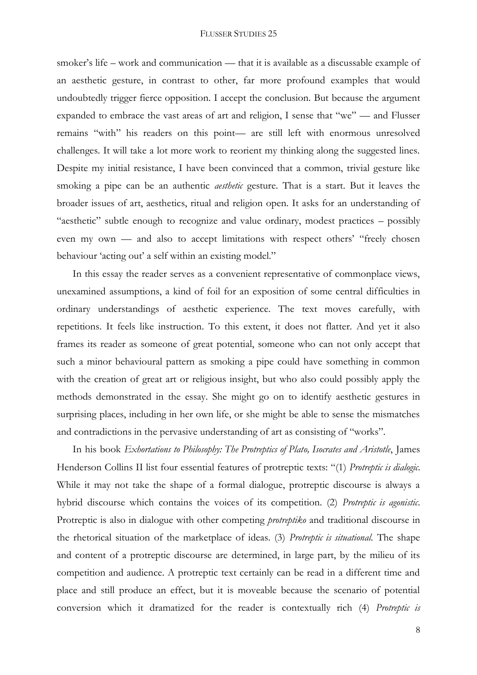smoker's life – work and communication — that it is available as a discussable example of an aesthetic gesture, in contrast to other, far more profound examples that would undoubtedly trigger fierce opposition. I accept the conclusion. But because the argument expanded to embrace the vast areas of art and religion, I sense that "we" — and Flusser remains "with" his readers on this point— are still left with enormous unresolved challenges. It will take a lot more work to reorient my thinking along the suggested lines. Despite my initial resistance, I have been convinced that a common, trivial gesture like smoking a pipe can be an authentic *aesthetic* gesture. That is a start. But it leaves the broader issues of art, aesthetics, ritual and religion open. It asks for an understanding of "aesthetic" subtle enough to recognize and value ordinary, modest practices – possibly even my own — and also to accept limitations with respect others' "freely chosen behaviour 'acting out' a self within an existing model."

In this essay the reader serves as a convenient representative of commonplace views, unexamined assumptions, a kind of foil for an exposition of some central difficulties in ordinary understandings of aesthetic experience. The text moves carefully, with repetitions. It feels like instruction. To this extent, it does not flatter. And yet it also frames its reader as someone of great potential, someone who can not only accept that such a minor behavioural pattern as smoking a pipe could have something in common with the creation of great art or religious insight, but who also could possibly apply the methods demonstrated in the essay. She might go on to identify aesthetic gestures in surprising places, including in her own life, or she might be able to sense the mismatches and contradictions in the pervasive understanding of art as consisting of "works".

In his book *Exhortations to Philosophy: The Protreptics of Plato, Isocrates and Aristotle*, James Henderson Collins II list four essential features of protreptic texts: "(1) *Protreptic is dialogic*. While it may not take the shape of a formal dialogue, protreptic discourse is always a hybrid discourse which contains the voices of its competition. (2) *Protreptic is agonistic*. Protreptic is also in dialogue with other competing *protreptiko* and traditional discourse in the rhetorical situation of the marketplace of ideas. (3) *Protreptic is situational.* The shape and content of a protreptic discourse are determined, in large part, by the milieu of its competition and audience. A protreptic text certainly can be read in a different time and place and still produce an effect, but it is moveable because the scenario of potential conversion which it dramatized for the reader is contextually rich (4) *Protreptic is* 

8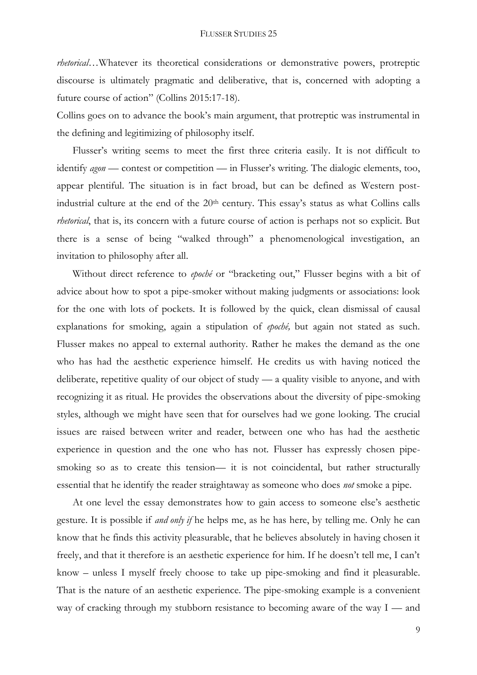*rhetorical*…Whatever its theoretical considerations or demonstrative powers, protreptic discourse is ultimately pragmatic and deliberative, that is, concerned with adopting a future course of action" (Collins 2015:17-18).

Collins goes on to advance the book's main argument, that protreptic was instrumental in the defining and legitimizing of philosophy itself.

Flusser's writing seems to meet the first three criteria easily. It is not difficult to identify *agon* — contest or competition — in Flusser's writing. The dialogic elements, too, appear plentiful. The situation is in fact broad, but can be defined as Western postindustrial culture at the end of the 20<sup>th</sup> century. This essay's status as what Collins calls *rhetorical*, that is, its concern with a future course of action is perhaps not so explicit. But there is a sense of being "walked through" a phenomenological investigation, an invitation to philosophy after all.

Without direct reference to *epoché* or "bracketing out," Flusser begins with a bit of advice about how to spot a pipe-smoker without making judgments or associations: look for the one with lots of pockets. It is followed by the quick, clean dismissal of causal explanations for smoking, again a stipulation of *epoché,* but again not stated as such. Flusser makes no appeal to external authority. Rather he makes the demand as the one who has had the aesthetic experience himself. He credits us with having noticed the deliberate, repetitive quality of our object of study — a quality visible to anyone, and with recognizing it as ritual. He provides the observations about the diversity of pipe-smoking styles, although we might have seen that for ourselves had we gone looking. The crucial issues are raised between writer and reader, between one who has had the aesthetic experience in question and the one who has not. Flusser has expressly chosen pipesmoking so as to create this tension— it is not coincidental, but rather structurally essential that he identify the reader straightaway as someone who does *not* smoke a pipe.

At one level the essay demonstrates how to gain access to someone else's aesthetic gesture. It is possible if *and only if* he helps me, as he has here, by telling me. Only he can know that he finds this activity pleasurable, that he believes absolutely in having chosen it freely, and that it therefore is an aesthetic experience for him. If he doesn't tell me, I can't know – unless I myself freely choose to take up pipe-smoking and find it pleasurable. That is the nature of an aesthetic experience. The pipe-smoking example is a convenient way of cracking through my stubborn resistance to becoming aware of the way I — and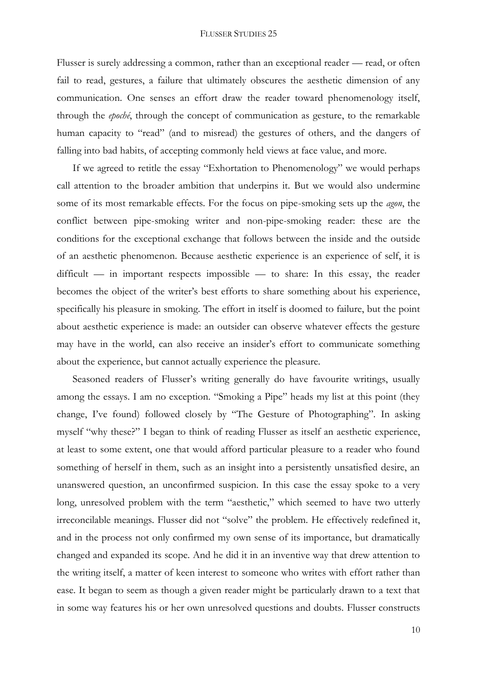Flusser is surely addressing a common, rather than an exceptional reader — read, or often fail to read, gestures, a failure that ultimately obscures the aesthetic dimension of any communication. One senses an effort draw the reader toward phenomenology itself, through the *epoché*, through the concept of communication as gesture, to the remarkable human capacity to "read" (and to misread) the gestures of others, and the dangers of falling into bad habits, of accepting commonly held views at face value, and more.

If we agreed to retitle the essay "Exhortation to Phenomenology" we would perhaps call attention to the broader ambition that underpins it. But we would also undermine some of its most remarkable effects. For the focus on pipe-smoking sets up the *agon*, the conflict between pipe-smoking writer and non-pipe-smoking reader: these are the conditions for the exceptional exchange that follows between the inside and the outside of an aesthetic phenomenon. Because aesthetic experience is an experience of self, it is difficult — in important respects impossible — to share: In this essay, the reader becomes the object of the writer's best efforts to share something about his experience, specifically his pleasure in smoking. The effort in itself is doomed to failure, but the point about aesthetic experience is made: an outsider can observe whatever effects the gesture may have in the world, can also receive an insider's effort to communicate something about the experience, but cannot actually experience the pleasure.

Seasoned readers of Flusser's writing generally do have favourite writings, usually among the essays. I am no exception. "Smoking a Pipe" heads my list at this point (they change, I've found) followed closely by "The Gesture of Photographing". In asking myself "why these?" I began to think of reading Flusser as itself an aesthetic experience, at least to some extent, one that would afford particular pleasure to a reader who found something of herself in them, such as an insight into a persistently unsatisfied desire, an unanswered question, an unconfirmed suspicion. In this case the essay spoke to a very long, unresolved problem with the term "aesthetic," which seemed to have two utterly irreconcilable meanings. Flusser did not "solve" the problem. He effectively redefined it, and in the process not only confirmed my own sense of its importance, but dramatically changed and expanded its scope. And he did it in an inventive way that drew attention to the writing itself, a matter of keen interest to someone who writes with effort rather than ease. It began to seem as though a given reader might be particularly drawn to a text that in some way features his or her own unresolved questions and doubts. Flusser constructs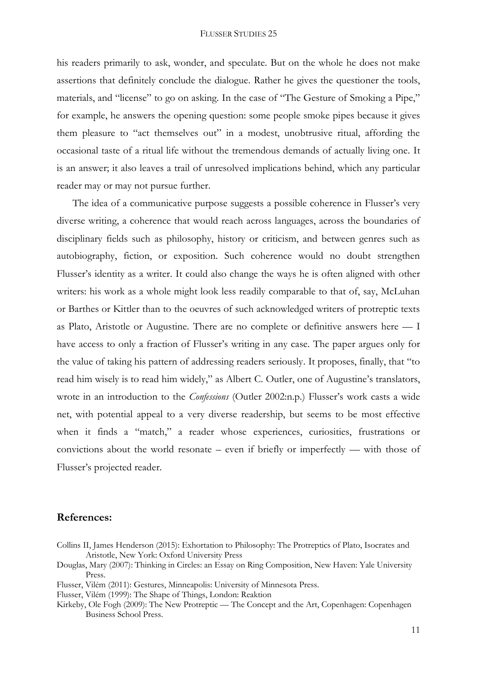his readers primarily to ask, wonder, and speculate. But on the whole he does not make assertions that definitely conclude the dialogue. Rather he gives the questioner the tools, materials, and "license" to go on asking. In the case of "The Gesture of Smoking a Pipe," for example, he answers the opening question: some people smoke pipes because it gives them pleasure to "act themselves out" in a modest, unobtrusive ritual, affording the occasional taste of a ritual life without the tremendous demands of actually living one. It is an answer; it also leaves a trail of unresolved implications behind, which any particular reader may or may not pursue further.

The idea of a communicative purpose suggests a possible coherence in Flusser's very diverse writing, a coherence that would reach across languages, across the boundaries of disciplinary fields such as philosophy, history or criticism, and between genres such as autobiography, fiction, or exposition. Such coherence would no doubt strengthen Flusser's identity as a writer. It could also change the ways he is often aligned with other writers: his work as a whole might look less readily comparable to that of, say, McLuhan or Barthes or Kittler than to the oeuvres of such acknowledged writers of protreptic texts as Plato, Aristotle or Augustine. There are no complete or definitive answers here — I have access to only a fraction of Flusser's writing in any case. The paper argues only for the value of taking his pattern of addressing readers seriously. It proposes, finally, that "to read him wisely is to read him widely," as Albert C. Outler, one of Augustine's translators, wrote in an introduction to the *Confessions* (Outler 2002:n.p.) Flusser's work casts a wide net, with potential appeal to a very diverse readership, but seems to be most effective when it finds a "match," a reader whose experiences, curiosities, frustrations or convictions about the world resonate – even if briefly or imperfectly — with those of Flusser's projected reader.

## **References:**

- Collins II, James Henderson (2015): Exhortation to Philosophy: The Protreptics of Plato, Isocrates and Aristotle, New York: Oxford University Press
- Douglas, Mary (2007): Thinking in Circles: an Essay on Ring Composition, New Haven: Yale University Press.
- Flusser, Vilém (2011): Gestures, Minneapolis: University of Minnesota Press.
- Flusser, Vilém (1999): The Shape of Things, London: Reaktion
- Kirkeby, Ole Fogh (2009): The New Protreptic The Concept and the Art, Copenhagen: Copenhagen Business School Press.